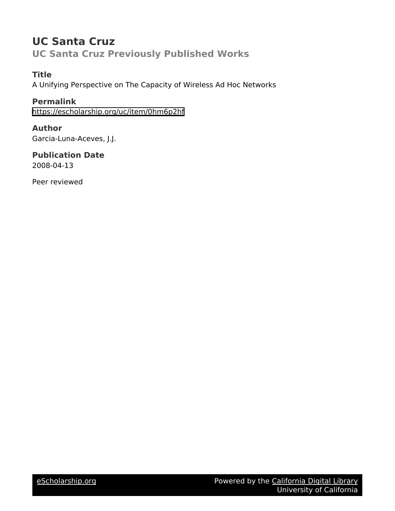## **UC Santa Cruz UC Santa Cruz Previously Published Works**

### **Title**

A Unifying Perspective on The Capacity of Wireless Ad Hoc Networks

**Permalink** <https://escholarship.org/uc/item/0hm6p2hf>

**Author** Garcia-Luna-Aceves, J.J.

**Publication Date** 2008-04-13

Peer reviewed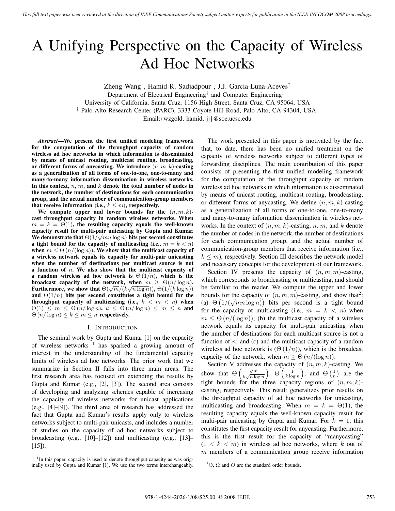# A Unifying Perspective on the Capacity of Wireless Ad Hoc Networks

Zheng Wang*†*, Hamid R. Sadjadpour*†*, J.J. Garcia-Luna-Aceves*‡* Department of Electrical Engineering*†* and Computer Engineering*‡* University of California, Santa Cruz, 1156 High Street, Santa Cruz, CA 95064, USA ‡ Palo Alto Research Center (PARC), 3333 Coyote Hill Road, Palo Alto, CA 94304, USA Email:{wzgold, hamid, jj}@soe.ucsc.edu

*Abstract***—We present the first unified modeling framework for the computation of the throughput capacity of random wireless ad hoc networks in which information is disseminated by means of unicast routing, multicast routing, broadcasting, or different forms of anycasting. We introduce** (*n, m, k*)**-casting as a generalization of all forms of one-to-one, one-to-many and many-to-many information dissemination in wireless networks. In this context,** *n***,** *m,* **and** *k* **denote the total number of nodes in the network, the number of destinations for each communication group, and the actual number of communication-group members that receive information (i.e.,**  $k \leq m$ ), respectively.

**We compute upper and lower bounds for the** (*n, m, k*) **cast throughput capacity in random wireless networks. When**  $m = k = \Theta(1)$ , the resulting capacity equals the well-known **capacity result for multi-pair unicasting by Gupta and Kumar.** We demonstrate that  $\Theta(1/\sqrt{mn\log n})$  bits per second constitutes<br>a tight hound for the canacity of multicasting (i.e.,  $m = k < n$ ) **a tight bound for the capacity of multicasting (i.e.,**  $m = k < n$ ) when  $m \leq \Theta(n/(\log n))$ . We show that the multicast capacity of **a wireless network equals its capacity for multi-pair unicasting when the number of destinations per multicast source is not a function of** *n***. We also show that the multicast capacity of a random wireless ad hoc network is**  $\Theta(1/n)$ , which is the **broadcast capacity of the network, when**  $m \ge \Theta(n/\log n)$ . **Furthermore, we show that**  $\Theta(\sqrt{m}/(k\sqrt{n \log n}))$ ,  $\Theta(1/(k \log n))$ <br>and  $\Theta(1/n)$  hits ner second constitutes a tight hound for the **and** Θ(1*/n*) **bits per second constitutes a tight bound for the throughput capacity of multicasting (i.e.,**  $k < m < n$ ) when  $\Theta(1) \leq m \leq \Theta(n/\log n), k \leq \Theta(n/\log n) \leq m \leq n$  and  $\Theta(n/\log n) \leq k \leq m \leq n$  respectively.

#### I. INTRODUCTION

The seminal work by Gupta and Kumar [1] on the capacity of wireless networks  $1$  has sparked a growing amount of interest in the understanding of the fundamental capacity limits of wireless ad hoc networks. The prior work that we summarize in Section II falls into three main areas. The first research area has focused on extending the results by Gupta and Kumar (e.g., [2], [3]). The second area consists of developing and analyzing schemes capable of increasing the capacity of wireless networks for unicast applications (e.g., [4]–[9]). The third area of research has addressed the fact that Gupta and Kumar's results apply only to wireless networks subject to multi-pair unicasts, and includes a number of studies on the capacity of ad hoc networks subject to broadcasting (e.g.,  $[10]$ – $[12]$ ) and multicasting (e.g.,  $[13]$ –  $[15]$ ).

<sup>1</sup>In this paper, capacity is used to denote throughput capacity as was originally used by Gupta and Kumar [1]. We use the two terms interchangeably.

The work presented in this paper is motivated by the fact that, to date, there has been no unified treatment on the capacity of wireless networks subject to different types of forwarding disciplines. The main contribution of this paper consists of presenting the first unified modeling framework for the computation of the throughput capacity of random wireless ad hoc networks in which information is disseminated by means of unicast routing, multicast routing, broadcasting, or different forms of any casting. We define  $(n, m, k)$ -casting as a generalization of all forms of one-to-one, one-to-many and many-to-many information dissemination in wireless networks. In the context of  $(n, m, k)$ -casting, n, m, and k denote the number of nodes in the network, the number of destinations for each communication group, and the actual number of communication-group members that receive information (i.e.,  $k \leq m$ ), respectively. Section III describes the network model and necessary concepts for the development of our framework.

Section IV presents the capacity of  $(n, m, m)$ -casting, which corresponds to broadcasting or multicasting, and should be familiar to the reader. We compute the upper and lower bounds for the capacity of  $(n, m, m)$ -casting, and show that<sup>2</sup>: bounds for the capacity of  $(n, m, m)$ -casting, and show that .<br>
(a)  $\Theta\left(1/(\sqrt{mn \log n})\right)$  bits per second is a tight bound<br>
for the capacity of multicasting (i.e.,  $m - k < n$ ) when for the capacity of multicasting (i.e.,  $m = k < n$ ) when  $m \leq \Theta(n/(\log n))$ ; (b) the multicast capacity of a wireless network equals its capacity for multi-pair unicasting when the number of destinations for each multicast source is not a function of  $n$ ; and (c) and the multicast capacity of a random wireless ad hoc network is  $(\Theta(1/n))$ , which is the broadcast capacity of the network, when  $m \geq \Theta(n/(\log n)).$ 

Section V addresses the capacity of  $(n, m, k)$ -casting. We show that  $\Theta\left(\frac{\sqrt{m}}{k\sqrt{n\log n}}\right), \Theta\left(\frac{1}{k\log n}\right)$ ), and  $\Theta\left(\frac{1}{n}\right)$  are the tight bounds for the three capacity regions of  $(n, m, k)$ casting, respectively. This result generalizes prior results on the throughput capacity of ad hoc networks for unicasting, multicasting and broadcasting. When  $m = k = \Theta(1)$ , the resulting capacity equals the well-known capacity result for multi-pair unicasting by Gupta and Kumar. For  $k = 1$ , this constitutes the first capacity result for anycasting. Furthermore, this is the first result for the capacity of "manycasting"  $(1 < k < m)$  in wireless ad hoc networks, where k out of  $m$  members of a communication group receive information

<sup>&</sup>lt;sup>2</sup>Θ,  $Ω$  and *O* are the standard order bounds.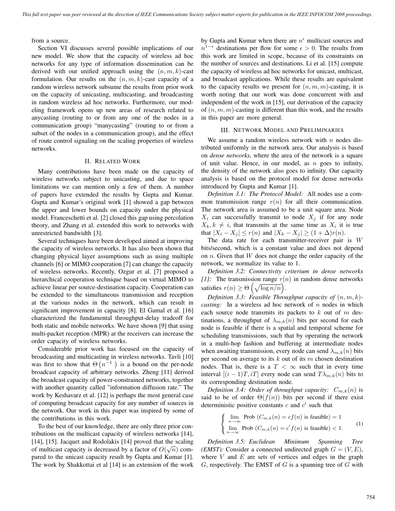from a source.

Section VI discusses several possible implications of our new model. We show that the capacity of wireless ad hoc networks for any type of information dissemination can be derived with our unified approach using the  $(n, m, k)$ -cast formulation. Our results on the  $(n, m, k)$ -cast capacity of a random wireless network subsume the results from prior work on the capacity of unicasting, multicasting, and broadcasting in random wireless ad hoc networks. Furthermore, our modeling framework opens up new areas of research related to anycasting (routing to or from any one of the nodes in a communication group) "manycasting" (routing to or from a subset of the nodes in a communication group), and the effect of route control signaling on the scaling properties of wireless networks.

#### II. RELATED WORK

Many contributions have been made on the capacity of wireless networks subject to unicasting, and due to space limitations we can mention only a few of them. A number of papers have extended the results by Gupta and Kumar. Gupta and Kumar's original work [1] showed a gap between the upper and lower bounds on capacity under the physical model. Franceschetti et al. [2] closed this gap using percolation theory, and Zhang et al. extended this work to networks with unrestricted bandwidth [3].

Several techniques have been developed aimed at improving the capacity of wireless networks. It has also been shown that changing physical layer assumptions such as using multiple channels [6] or MIMO cooperation [7] can change the capacity of wireless networks. Recently, Ozgur et al. [7] proposed a hierarchical cooperation technique based on virtual MIMO to achieve linear per source-destination capacity. Cooperation can be extended to the simultaneous transmission and reception at the various nodes in the network, which can result in significant improvement in capacity [8]. El Gamal et al. [16] characterized the fundamental throughput-delay tradeoff for both static and mobile networks. We have shown [9] that using multi-packet reception (MPR) at the receivers can increase the order capacity of wireless networks.

Considerable prior work has focused on the capacity of broadcasting and multicasting in wireless networks. Tavli [10] was first to show that  $\Theta(n^{-1})$  is a bound on the per-node<br>broadcast canacity of arbitrary networks. Zheng [11] derived broadcast capacity of arbitrary networks. Zheng [11] derived the broadcast capacity of power-constrained networks, together with another quantity called "information diffusion rate." The work by Keshavarz et al. [12] is perhaps the most general case of computing broadcast capacity for any number of sources in the network. Our work in this paper was inspired by some of the contributions in this work.

To the best of our knowledge, there are only three prior contributions on the multicast capacity of wireless networks [14], [14], [15]. Jacquet and Rodolakis [14] proved that the scaling of multicast capacity is decreased by a factor of  $O(\sqrt{n})$  com-<br>pared to the unicast capacity result by Gunta and Kumar [1] pared to the unicast capacity result by Gupta and Kumar [1]. The work by Shakkottai et al [14] is an extension of the work by Gupta and Kumar when there are  $n^{\epsilon}$  multicast sources and  $n^{1-\epsilon}$  destinations per flow for some  $\epsilon > 0$ . The results from this work are limited in scope, because of its constraints on the number of sources and destinations. Li et al. [15] compute the capacity of wireless ad hoc networks for unicast, multicast, and broadcast applications. While these results are equivalent to the capacity results we present for  $(n, m, m)$ -casting, it is worth noting that our work was done concurrent with and independent of the work in [15], our derivation of the capacity of  $(n, m, m)$ -casting is different than this work, and the results in this paper are more general.

#### III. NETWORK MODEL AND PRELIMINARIES

We assume a random wireless network with  $n$  nodes distributed uniformly in the network area. Our analysis is based on *dense networks*, where the area of the network is a square of unit value. Hence, in our model, as  $n$  goes to infinity, the density of the network also goes to infinity. Our capacity analysis is based on the protocol model for dense networks introduced by Gupta and Kumar [1].

*Definition 3.1: The Protocol Model:* All nodes use a common transmission range  $r(n)$  for all their communication. The network area is assumed to be a unit square area. Node  $X_i$  can successfully transmit to node  $X_j$  if for any node  $X_k, k \neq i$ , that transmits at the same time as  $X_i$  it is true that  $|X_i - X_j| \le r(n)$  and  $|X_k - X_j| \ge (1 + \Delta)r(n)$ .

The data rate for each transmitter-receiver pair is W bits/second, which is a constant value and does not depend on  $n$ . Given that  $W$  does not change the order capacity of the network, we normalize its value to 1.

*Definition 3.2: Connectivity criterium in dense networks [1]:* The transmission range  $r(n)$  in random dense networks satisfies  $r(n) \geq \Theta\left(\sqrt{\log n/n}\right)$ .

*Definition 3.3: Feasible Throughput capacity of* (n, m, k) *casting:* In a wireless ad hoc network of  $n$  nodes in which each source node transmits its packets to  $k$  out of  $m$  destinations, a throughput of  $\lambda_{m,k}(n)$  bits per second for each node is feasible if there is a spatial and temporal scheme for scheduling transmissions, such that by operating the network in a multi-hop fashion and buffering at intermediate nodes when awaiting transmission, every node can send  $\lambda_{m,k}(n)$  bits per second on average to its  $k$  out of its  $m$  chosen destination nodes. That is, there is a  $T < \infty$  such that in every time interval  $[(i - 1)T, iT]$  every node can send  $T\lambda_{m,k}(n)$  bits to its corresponding destination node.

*Definition 3.4: Order of throughput capacity:*  $C_{m,k}(n)$  is said to be of order  $\Theta(f(n))$  bits per second if there exist deterministic positive constants  $c$  and  $c'$  such that

$$
\begin{cases}\n\lim_{n \to \infty} \text{Prob}(C_{m,k}(n) = cf(n) \text{ is feasible}) = 1 \\
\lim_{n \to \infty} \text{Prob}(C_{m,k}(n) = c' f(n) \text{ is feasible}) < 1.\n\end{cases}
$$
\n(1)

*Definition 3.5: Euclidean Minimum Spanning Tree (EMST):* Consider a connected undirected graph  $G = (V, E)$ , where  $V$  and  $E$  are sets of vertices and edges in the graph  $G$ , respectively. The EMST of  $G$  is a spanning tree of  $G$  with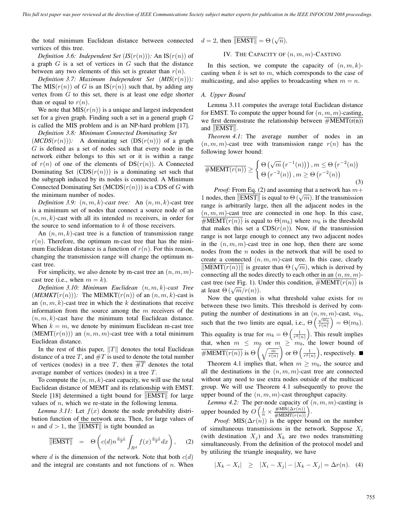the total minimum Euclidean distance between connected vertices of this tree.

*Definition 3.6: Independent Set*  $(IS(r(n)))$ : An  $IS(r(n))$  of a graph  $G$  is a set of vertices in  $G$  such that the distance between any two elements of this set is greater than  $r(n)$ .

*Definition 3.7: Maximum Independent Set* (*MIS*(r(n)))*:* The MIS $(r(n))$  of G is an IS $(r(n))$  such that, by adding any vertex from  $G$  to this set, there is at least one edge shorter than or equal to  $r(n)$ .

We note that  $MIS(r(n))$  is a unique and largest independent set for a given graph. Finding such a set in a general graph G is called the MIS problem and is an NP-hard problem [17].

*Definition 3.8: Minimum Connected Dominating Set*  $(MCDS(r(n)))$ : A dominating set  $(DS(r(n)))$  of a graph  $G$  is defined as a set of nodes such that every node in the network either belongs to this set or it is within a range of  $r(n)$  of one of the elements of  $DS(r(n))$ . A Connected Dominating Set  $(CDS(r(n)))$  is a dominating set such that the subgraph induced by its nodes is connected. A Minimum Connected Dominating Set  $(MCDS(r(n)))$  is a CDS of G with the minimum number of nodes.

*Definition 3.9:*  $(n, m, k)$ -cast tree: An  $(n, m, k)$ -cast tree is a minimum set of nodes that connect a source node of an  $(n, m, k)$ -cast with all its intended m receivers, in order for the source to send information to  $k$  of those receivers.

An  $(n, m, k)$ -cast tree is a function of transmission range  $r(n)$ . Therefore, the optimum m-cast tree that has the minimum Euclidean distance is a function of  $r(n)$ . For this reason, changing the transmission range will change the optimum mcast tree.

For simplicity, we also denote by m-cast tree an  $(n, m, m)$ cast tree (i.e., when  $m = k$ ).

*Definition 3.10: Minimum Euclidean* (n, m, k)*-cast Tree*  $(MEMKT(r(n)))$ : The MEMKT( $r(n)$ ) of an  $(n, m, k)$ -cast is an  $(n, m, k)$ -cast tree in which the k destinations that receive information from the source among the  $m$  receivers of the  $(n, m, k)$ -cast have the minimum total Euclidean distance. When  $k = m$ , we denote by minimum Euclidean m-cast tree (MEMT $(r(n))$ ) an  $(n, m, m)$ -cast tree with a total minimum Euclidean distance.

In the rest of this paper,  $||T||$  denotes the total Euclidean distance of a tree T, and  $\#T$  is used to denote the total number of vertices (nodes) in a tree  $T$ , then  $\#T$  denotes the total average number of vertices (nodes) in a tree T.

To compute the  $(n, m, k)$ -cast capacity, we will use the total Euclidean distance of MEMT and its relationship with EMST. Steele [18] determined a tight bound for  $\parallel$ EMST $\parallel$  for large values of  $n$ , which we re-state in the following lemma.

*Lemma 3.11:* Let  $f(x)$  denote the node probability distribution function of the network area. Then, for large values of *n* and  $d > 1$ , the ||EMST|| is tight bounded as

$$
\overline{\|\text{EMST}\|} = \Theta\left(c(d)n^{\frac{d-1}{d}} \int_{R^d} f(x)^{\frac{d-1}{d}} dx\right), \quad (2)
$$

where d is the dimension of the network. Note that both  $c(d)$ and the integral are constants and not functions of  $n$ . When  $d = 2$ , then  $\overline{\text{||EMST||}} = \Theta(\sqrt{n}).$ 

#### IV. THE CAPACITY OF  $(n, m, m)$ -CASTING

In this section, we compute the capacity of  $(n, m, k)$ casting when  $k$  is set to  $m$ , which corresponds to the case of multicasting, and also applies to broadcasting when  $m = n$ .

#### *A. Upper Bound*

Lemma 3.11 computes the average total Euclidean distance for EMST. To compute the upper bound for  $(n, m, m)$ -casting, we first demonstrate the relationship between  $\#MEMT(r(n))$ and  $||$ EMST $||$ .

*Theorem 4.1:* The average number of nodes in an  $(n, m, m)$ -cast tree with transmission range  $r(n)$  has the following lower bound:

$$
\overline{\text{HMENT}(r(n))} \geq \begin{cases} \Theta\left(\sqrt{m} (r^{-1}(n))\right), m \leq \Theta\left(r^{-2}(n)\right) \\ \Theta\left(r^{-2}(n)\right), m \geq \Theta\left(r^{-2}(n)\right) \end{cases}
$$
\n(3)

*Proof:* From Eq. (2) and assuming that a network has  $m+$ 1 nodes, then |EMST|| is equal to  $\Theta(\sqrt{m})$ . If the transmission range is arbitrarily large, then all the adjacent nodes in the  $(n, m, m)$ -cast tree are connected in one hop. In this case, #MEMT( $r(n)$ ) is equal to  $\Theta(m_b)$  where  $m_b$  is the threshold that makes this set a  $CDS(r(n))$ . Now, if the transmission range is not large enough to connect any two adjacent nodes in the  $(n, m, m)$ -cast tree in one hop, then there are some nodes from the  $n$  nodes in the network that will be used to create a connected  $(n, m, m)$ -cast tree. In this case, clearly  $\|\text{MEMT}(r(n))\|$  is greater than  $\Theta(\sqrt{m})$ , which is derived by connecting all the nodes directly to each other in an  $(n, m, m)$ cast tree (see Fig. 1). Under this condition,  $\#MEMT(r(n))$  is at least  $\Theta\left(\sqrt{m}/r(n)\right)$ .

Now the question is what threshold value exists for  $m$ between these two limits. This threshold is derived by computing the number of destinations in an  $(n, m, m)$ -cast,  $m_b$ , such that the two limits are equal, i.e.,  $\Theta\left(\frac{\sqrt{m_b}}{r(n)}\right)$  $r(n)$  $\Big) = \Theta(m_b).$ This equality is true for  $m_b = \Theta\left(\frac{1}{r^2(n)}\right)$  . This result implies that, when  $m \leq m_b$  or  $m \geq m_b$ , the lower bound of  $\overline{\#\text{MEMT}(r(n))}$  is  $\Theta\left(\sqrt{\frac{m}{r(n)}}\right)$  $r(n)$ or  $\Theta\left(\frac{1}{r^2(n)}\right)$  , respectively. Theorem 4.1 implies that, when  $m \geq m_b$ , the source and

all the destinations in the  $(n, m, m)$ -cast tree are connected without any need to use extra nodes outside of the multicast group. We will use Theorem 4.1 subsequently to prove the upper bound of the  $(n, m, m)$ -cast throughput capacity.

*Lemma 4.2:* The per-node capacity of  $(n, m, m)$ -casting is upper bounded by  $O\left(\frac{1}{n} \times \frac{\text{HMIS}(\Delta r(n))}{\text{HMENT}(r(n))}\right)$ .<br>Proof: MIS( $\Delta r(n)$ ) is the upper bot

*Proof:* MIS( $\Delta r(n)$ ) is the upper bound on the number of simultaneous transmissions in the network. Suppose  $X_i$ (with destination  $X_j$ ) and  $X_k$  are two nodes transmitting simultaneously. From the definition of the protocol model and by utilizing the triangle inequality, we have

$$
|X_k - X_i| \ge |X_i - X_j| - |X_k - X_j| = \Delta r(n). \tag{4}
$$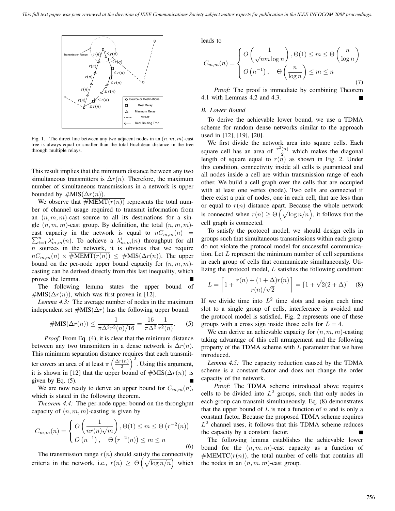

Fig. 1. The direct line between any two adjacent nodes in an (*n, m, m*)-cast tree is always equal or smaller than the total Euclidean distance in the tree through multiple relays.

This result implies that the minimum distance between any two simultaneous transmitters is  $\Delta r(n)$ . Therefore, the maximum number of simultaneous transmissions in a network is upper bounded by  $\#MIS(\Delta r(n)).$ 

We observe that  $\#\text{MEMT}(r(n))$  represents the total number of channel usage required to transmit information from an  $(n, m, m)$ -cast source to all its destinations for a single  $(n, m, m)$ -cast group. By definition, the total  $(n, m, m)$ - $\sum_{i=1}^{n} \lambda_{m,m}^{i}(n)$ . To achieve a  $\lambda_{m,m}^{i}(n)$  throughput for all cast capacity in the network is equal to  $nC_{m,m}(n)$  =  $n$  sources in the network, it is obvious that we require  $nC_{m,m}(n) \times \text{HMENT}(r(n)) \leq \text{HMIS}(\Delta r(n)).$  The upper bound on the per-node upper bound capacity for  $(n, m, m)$ casting can be derived directly from this last inequality, which proves the lemma.

The following lemma states the upper bound of  $\#\text{MIS}(\Delta r(n))$ , which was first proven in [12].

*Lemma 4.3:* The average number of nodes in the maximum independent set  $\#\text{MIS}(\Delta r)$  has the following upper bound:

$$
\#MIS(\Delta r(n)) \le \frac{1}{\pi \Delta^2 r^2(n)/16} = \frac{16}{\pi \Delta^2} \frac{1}{r^2(n)}.
$$
 (5)

*Proof:* From Eq. (4), it is clear that the minimum distance between any two transmitters in a dense network is  $\Delta r(n)$ . This minimum separation distance requires that each transmitter covers an area of at least  $\pi\left(\frac{\Delta r(n)}{2}\right)^2$ . Using this argument, it is shown in [12] that the upper bound of  $\#\text{MIS}(\Delta r(n))$  is given by Eq. (5) given by Eq. (5).

We are now ready to derive an upper bound for  $C_{m,m}(n)$ , which is stated in the following theorem.

*Theorem 4.4:* The per-node upper bound on the throughput capacity of  $(n, m, m)$ -casting is given by

$$
C_{m,m}(n) = \begin{cases} O\left(\frac{1}{nr(n)\sqrt{m}}\right), \Theta(1) \le m \le \Theta\left(r^{-2}(n)\right) \\ O\left(n^{-1}\right), \quad \Theta\left(r^{-2}(n)\right) \le m \le n \end{cases}
$$
(6)

The transmission range  $r(n)$  should satisfy the connectivity criteria in the network, i.e.,  $r(n) \ge \Theta\left(\sqrt{\log n/n}\right)$  which leads to

$$
C_{m,m}(n) = \begin{cases} O\left(\frac{1}{\sqrt{nm\log n}}\right), \Theta(1) \le m \le \Theta\left(\frac{n}{\log n}\right) \\ O\left(n^{-1}\right), & \Theta\left(\frac{n}{\log n}\right) \le m \le n \end{cases}
$$
(7)

*Proof:* The proof is immediate by combining Theorem 4.1 with Lemmas 4.2 and 4.3.

#### *B. Lower Bound*

To derive the achievable lower bound, we use a TDMA scheme for random dense networks similar to the approach used in [12], [19], [20].

We first divide the network area into square cells. Each square cell has an area of  $\frac{r^2(n)}{2}$  which makes the diagonal<br>length of square equal to  $r(n)$  as shown in Fig. 2. Under length of square equal to  $r(n)$  as shown in Fig. 2. Under<br>this condition connectivity inside all cells is quaranteed and this condition, connectivity inside all cells is guaranteed and all nodes inside a cell are within transmission range of each other. We build a cell graph over the cells that are occupied with at least one vertex (node). Two cells are connected if there exist a pair of nodes, one in each cell, that are less than or equal to  $r(n)$  distance apart. Because the whole network is connected when  $r(n) \geq \Theta\left(\sqrt{\log n/n}\right)$ , it follows that the cell graph is connected.

To satisfy the protocol model, we should design cells in groups such that simultaneous transmissions within each group do not violate the protocol model for successful communication. Let L represent the minimum number of cell separations in each group of cells that communicate simultaneously. Utilizing the protocol model,  $L$  satisfies the following condition:

$$
L = \left[1 + \frac{r(n) + (1 + \Delta)r(n)}{r(n)/\sqrt{2}}\right] = \left[1 + \sqrt{2}(2 + \Delta)\right] \quad (8)
$$

If we divide time into  $L^2$  time slots and assign each time slot to a single group of cells, interference is avoided and the protocol model is satisfied. Fig. 2 represents one of these groups with a cross sign inside those cells for  $L = 4$ .

We can derive an achievable capacity for  $(n, m, m)$ -casting taking advantage of this cell arrangement and the following property of the TDMA scheme with L parameter that we have introduced.

*Lemma 4.5:* The capacity reduction caused by the TDMA scheme is a constant factor and does not change the order capacity of the network.

*Proof:* The TDMA scheme introduced above requires cells to be divided into  $L^2$  groups, such that only nodes in each group can transmit simultaneously. Eq. (8) demonstrates that the upper bound of  $L$  is not a function of  $n$  and is only a constant factor. Because the proposed TDMA scheme requires  $L<sup>2</sup>$  channel uses, it follows that this TDMA scheme reduces the capacity by a constant factor.

The following lemma establishes the achievable lower bound for the  $(n, m, m)$ -cast capacity as a function of  $\#MEMTC(r(n))$ , the total number of cells that contains all the nodes in an  $(n, m, m)$ -cast group.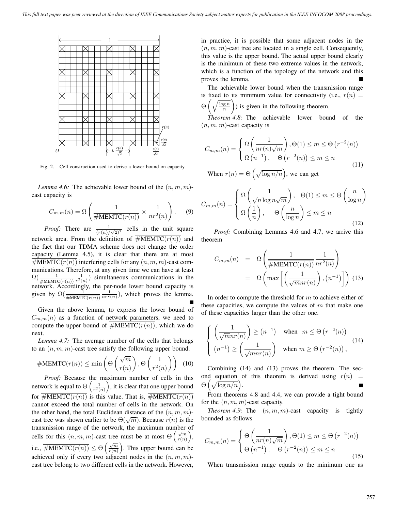

Fig. 2. Cell construction used to derive a lower bound on capacity

*Lemma 4.6:* The achievable lower bound of the  $(n, m, m)$ cast capacity is

$$
C_{m,m}(n) = \Omega\left(\frac{1}{\# \text{MEMTC}(r(n))} \times \frac{1}{nr^2(n)}\right). \tag{9}
$$

*Proof:* There are  $\frac{1}{(r(n)/\sqrt{2})^2}$  cells in the unit square network area. From the definition of  $\overline{\text{HMENTC}(r(n))}$  and the fact that our TDMA scheme does not change the order capacity (Lemma 4.5), it is clear that there are at most  $\#MEMTC(r(n))$  interfering cells for any  $(n, m, m)$ -cast communications. Therefore, at any given time we can have at least  $\Omega(\frac{1}{\# \text{MENTC}(r(n))} \frac{1}{r^2(n)})$  simultaneous communications in the  $\sum_{i=1}^{\infty}$   $\sum_{i=1}^{\infty}$   $\sum_{i=1}^{\infty}$   $\sum_{i=1}^{\infty}$  and  $\sum_{i=1}^{\infty}$  and  $\sum_{i=1}^{\infty}$  is network. Accordingly, the per-node lower bound capacity is given by  $\Omega(\frac{1}{\# \text{MEMTC}(r(n))} \frac{1}{nr^2(n)})$ , which proves the lemma.

Given the above lemma, to express the lower bound of  $C_{m,m}(n)$  as a function of network parameters, we need to compute the upper bound of  $\#MEMTC(r(n))$ , which we do next.

*Lemma 4.7:* The average number of the cells that belongs to an  $(n, m, m)$ -cast tree satisfy the following upper bound.

$$
\overbrace{\text{HMEMTC}(r(n))}^{\text{HMEMTC}} \le \min\left(\Theta\left(\frac{\sqrt{m}}{r(n)}\right), \Theta\left(\frac{1}{r^2(n)}\right)\right) \tag{10}
$$
\n*Proof:* Because the maximum number of cells in this

network is equal to  $\Theta\left(\frac{1}{r^2(n)}\right)$  , it is clear that one upper bound for  $\#MEMTC(r(n))$  is this value. That is,  $\#MEMTC(r(n))$ cannot exceed the total number of cells in the network. On the other hand, the total Euclidean distance of the  $(n, m, m)$ cast tree was shown earlier to be  $\Theta(\sqrt{m})$ . Because  $r(n)$  is the transmission range of the network, the maximum number of cells for this  $(n, m, m)$ -cast tree must be at most  $\Theta\left(\frac{\sqrt{m}}{r(n)}\right)$ ,  $r(n)$ i.e.,  $\overline{\text{HMENTC}(r(n))} \leq \Theta\left(\frac{\sqrt{m}}{r(n)}\right)$  $\frac{r(n)}{n}$  . This upper bound can be achieved only if every two adjacent nodes in the  $(n, m, m)$ cast tree belong to two different cells in the network. However,

in practice, it is possible that some adjacent nodes in the  $(n, m, m)$ -cast tree are located in a single cell. Consequently, this value is the upper bound. The actual upper bound clearly is the minimum of these two extreme values in the network, which is a function of the topology of the network and this proves the lemma.

The achievable lower bound when the transmission range is fixed to its minimum value for connectivity (i.e.,  $r(n)$ )  $\Theta\left(\sqrt{\frac{\log n}{n}}\right)$ ) is given in the following theorem.

*Theorem 4.8:* The achievable lower bound of the  $(n, m, m)$ -cast capacity is

$$
C_{m,m}(n) = \begin{cases} \Omega\left(\frac{1}{nr(n)\sqrt{m}}\right), \Theta(1) \le m \le \Theta\left(r^{-2}(n)\right) \\ \Omega\left(n^{-1}\right), \quad \Theta\left(r^{-2}(n)\right) \le m \le n \end{cases}
$$
\n(11)

When  $r(n) = \Theta\left(\sqrt{\log n/n}\right)$ , we can get

$$
C_{m,m}(n) = \begin{cases} \Omega\left(\frac{1}{\sqrt{n\log n}\sqrt{m}}\right), & \Theta(1) \le m \le \Theta\left(\frac{n}{\log n}\right) \\ \Omega\left(\frac{1}{n}\right), & \Theta\left(\frac{n}{\log n}\right) \le m \le n \end{cases}
$$
\n(12)

*Proof:* Combining Lemmas 4.6 and 4.7, we arrive this theorem

$$
C_{m,m}(n) = \Omega\left(\frac{1}{\# \text{MEMTC}(r(n))} \frac{1}{nr^2(n)}\right)
$$

$$
= \Omega\left(\max\left[\left(\frac{1}{\sqrt{m}nr(n)}\right), (n^{-1})\right]\right) (13)
$$

In order to compute the threshold for  $m$  to achieve either of these capacities, we compute the values of  $m$  that make one of these capacities larger than the other one.

$$
\begin{cases}\n\left(\frac{1}{\sqrt{m}nr(n)}\right) \ge (n^{-1}) & \text{when } m \le \Theta\left(r^{-2}(n)\right) \\
(n^{-1}) \ge \left(\frac{1}{\sqrt{m}nr(n)}\right) & \text{when } m \ge \Theta\left(r^{-2}(n)\right),\n\end{cases}
$$
\n(14)

Combining (14) and (13) proves the theorem. The second equation of this theorem is derived using  $r(n)$  =  $\Theta\left(\sqrt{\log n/n}\right).$ 

From theorems 4.8 and 4.4, we can provide a tight bound for the  $(n, m, m)$ -cast capacity.

*Theorem 4.9:* The  $(n, m, m)$ -cast capacity is tightly bounded as follows

$$
C_{m,m}(n) = \begin{cases} \Theta\left(\frac{1}{nr(n)\sqrt{m}}\right), \Theta(1) \le m \le \Theta\left(r^{-2}(n)\right) \\ \Theta\left(n^{-1}\right), \quad \Theta\left(r^{-2}(n)\right) \le m \le n \end{cases}
$$
\n(15)

When transmission range equals to the minimum one as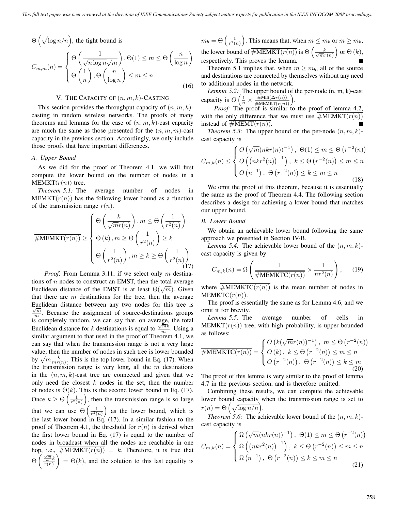$$
\Theta\left(\sqrt{\log n/n}\right), \text{ the tight bound is}
$$
\n
$$
C_{m,m}(n) = \begin{cases} \Theta\left(\frac{1}{\sqrt{n \log n \sqrt{m}}}\right), \Theta(1) \le m \le \Theta\left(\frac{n}{\log n}\right) \\ \Theta\left(\frac{1}{n}\right), \Theta\left(\frac{n}{\log n}\right) \le m \le n. \end{cases}
$$
\n(16)

#### V. THE CAPACITY OF  $(n, m, k)$ -CASTING

This section provides the throughput capacity of  $(n, m, k)$ casting in random wireless networks. The proofs of many theorems and lemmas for the case of  $(n, m, k)$ -cast capacity are much the same as those presented for the  $(n, m, m)$ -cast capacity in the previous section. Accordingly, we only include those proofs that have important differences.

#### *A. Upper Bound*

As we did for the proof of Theorem 4.1, we will first compute the lower bound on the number of nodes in a MEMKT $(r(n))$  tree.

*Theorem 5.1:* The average number of nodes in MEMKT( $r(n)$ ) has the following lower bound as a function of the transmission range  $r(n)$ .

$$
\overline{\#MEMKT(r(n))} \ge \begin{cases} \Theta\left(\frac{k}{\sqrt{m}r(n)}\right), m \le \Theta\left(\frac{1}{r^2(n)}\right) \\ \Theta\left(k\right), m \ge \Theta\left(\frac{1}{r^2(n)}\right) \ge k \\ \Theta\left(\frac{1}{r^2(n)}\right), m \ge k \ge \Theta\left(\frac{1}{r^2(n)}\right) \end{cases}
$$
\n(17)

*Proof:* From Lemma 3.11, if we select only m destinations of  $n$  nodes to construct an EMST, then the total average Euclidean distance of the EMST is at least  $\Theta(\sqrt{m})$ . Given that there are  $m$  destinations for the tree, then the average Euclidean distance between any two nodes for this tree is  $\frac{\sqrt{m}}{m}$ . Because the assignment of source-destinations groups is completely random, we can say that, on average, the total Euclidean distance for k destinations is equal to  $\frac{\sqrt{mk}}{m}$ . Using a similar argument to that used in the proof of Theorem 4.1, we can say that when the transmission range is not a very large value, then the number of nodes in such tree is lower bounded by  $\sqrt{m} \frac{k}{mr(n)}$ . This is the top lower bound in Eq. (17). When<br>the transmission range is very long all the m destinations the transmission range is very long, all the  $m$  destinations in the  $(n, m, k)$ -cast tree are connected and given that we only need the closest  $k$  nodes in the set, then the number of nodes is  $\Theta(k)$ . This is the second lower bound in Eq. (17). Once  $k \geq \Theta\left(\frac{1}{r^2(n)}\right)$ ), then the transmission range is so large that we can use  $\Theta\left(\frac{1}{r^2(n)}\right)$  as the lower bound, which is the last lower bound in  $Eq. (17)$ . In a similar fashion to the proof of Theorem 4.1, the threshold for  $r(n)$  is derived when the first lower bound in Eq. (17) is equal to the number of nodes in broadcast when all the nodes are reachable in one hop, i.e.,  $\overline{\text{HMEMKT}(r(n))} = k$ . Therefore, it is true that Θ  $\sqrt{\frac{m}{m}}k$  $r(n)$  $= \Theta(k)$ , and the solution to this last equality is

 $m_b = \Theta\left(\frac{1}{r^2(n)}\right)$ ). This means that, when  $m \le m_b$  or  $m \ge m_b$ , the lower bound of  $\overline{\#MEMKT(r(n))}$  is  $\Theta\left(\frac{k}{\sqrt{mr(n)}}\right)$  $\big)$  or  $\Theta(k)$ , respectively. This proves the lemma.

Theorem 5.1 implies that, when  $m \ge m_b$ , all of the source and destinations are connected by themselves without any need to additional nodes in the network.

*Lemma 5.2:* The upper bound of the per-node (n, m, k)-cast capacity is  $O\left(\frac{1}{n} \times \frac{\text{HMIS}(\Delta r(n))}{\text{HMIST}(r(n))}\right)$ .<br>*Proof*: The proof is similar to

*Proof:* The proof is similar to the proof of lemma 4.2, with the only difference that we must use  $\#MEMKT(r(n))$ instead of  $\#MEMT(r(n))$ .

*Theorem 5.3:* The upper bound on the per-node  $(n, m, k)$ cast capacity is

$$
C_{m,k}(n) \leq \begin{cases} O\left(\sqrt{m}(nkr(n))^{-1}\right), & \Theta(1) \leq m \leq \Theta\left(r^{-2}(n)\right) \\ O\left(\left(nkr^{2}(n)\right)^{-1}\right), & k \leq \Theta\left(r^{-2}(n)\right) \leq m \leq n \\ O\left(n^{-1}\right), & \Theta\left(r^{-2}(n)\right) \leq k \leq m \leq n \end{cases}
$$
(18)

We omit the proof of this theorem, because it is essentially the same as the proof of Theorem 4.4. The following section describes a design for achieving a lower bound that matches our upper bound.

#### *B. Lower Bound*

We obtain an achievable lower bound following the same approach we presented in Section IV-B.

*Lemma 5.4:* The achievable lower bound of the  $(n, m, k)$ cast capacity is given by

$$
C_{m,k}(n) = \Omega\left(\frac{1}{\# \text{MEMKTC}(r(n))} \times \frac{1}{nr^2(n)}\right), \quad (19)
$$

where  $\overline{\text{HMEMKTC}(r(n))}$  is the mean number of nodes in  $MEMKTC(r(n)).$ 

The proof is essentially the same as for Lemma 4.6, and we omit it for brevity.

*Lemma 5.5:* The average number of cells in MEMKT $(r(n))$  tree, with high probability, is upper bounded as follows:

$$
\frac{d}{\text{HMMKTC}(r(n))} = \begin{cases} O\left(k(\sqrt{m}r(n))^{-1}\right), & m \leq \Theta\left(r^{-2}(n)\right) \\ O\left(k\right), & k \leq \Theta\left(r^{-2}(n)\right) \leq m \leq n \\ O\left(r^{-2}(n)\right), & \Theta\left(r^{-2}(n)\right) \leq k \leq m \end{cases} \tag{20}
$$

The proof of this lemma is very similar to the proof of lemma 4.7 in the previous section, and is therefore omitted.

Combining these results, we can compute the achievable lower bound capacity when the transmission range is set to  $r(n) = \Theta\left(\sqrt{\log n/n}\right).$ <br>The same 5 6. The set

*Theorem* 5.6: The achievable lower bound of the  $(n, m, k)$ cast capacity is

$$
C_{m,k}(n) = \begin{cases} \Omega\left(\sqrt{m}(nkr(n))^{-1}\right), & \Theta(1) \le m \le \Theta\left(r^{-2}(n)\right) \\ \Omega\left(\left(nkr^{2}(n)\right)^{-1}\right), & k \le \Theta\left(r^{-2}(n)\right) \le m \le n \\ \Omega\left(n^{-1}\right), & \Theta\left(r^{-2}(n)\right) \le k \le m \le n \end{cases}
$$
\n(21)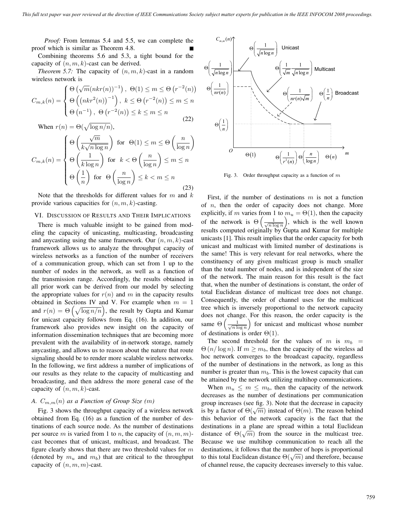*Proof:* From lemmas 5.4 and 5.5, we can complete the proof which is similar as Theorem 4.8.

Combining theorems 5.6 and 5.3, a tight bound for the capacity of  $(n, m, k)$ -cast can be derived.

*Theorem 5.7:* The capacity of  $(n, m, k)$ -cast in a random wireless network is

$$
C_{m,k}(n) = \begin{cases} \Theta\left(\sqrt{m}(nkr(n))^{-1}\right), & \Theta(1) \leq m \leq \Theta\left(r^{-2}(n)\right) \\ \Theta\left(\left(nkr^{2}(n)\right)^{-1}\right), & k \leq \Theta\left(r^{-2}(n)\right) \leq m \leq n \\ \Theta\left(n^{-1}\right), & \Theta\left(r^{-2}(n)\right) \leq k \leq m \leq n \end{cases}
$$
(22)

When  $r(n) = \Theta(\sqrt{\log n/n}),$ 

$$
C_{m,k}(n) = \begin{cases} \Theta\left(\frac{\sqrt{m}}{k\sqrt{n\log n}}\right) & \text{for } \Theta(1) \leq m \leq \Theta\left(\frac{n}{\log n}\right) \\ \Theta\left(\frac{1}{k\log n}\right) & \text{for } k < \Theta\left(\frac{n}{\log n}\right) \leq m \leq n \\ \Theta\left(\frac{1}{n}\right) & \text{for } \Theta\left(\frac{n}{\log n}\right) \leq k < m \leq n \end{cases} \tag{23}
$$

Note that the thresholds for different values for  $m$  and  $k$ provide various capacities for  $(n, m, k)$ -casting.

#### VI. DISCUSSION OF RESULTS AND THEIR IMPLICATIONS

There is much valuable insight to be gained from modeling the capacity of unicasting, multicasting, broadcasting and any casting using the same framework. Our  $(n, m, k)$ -cast framework allows us to analyze the throughput capacity of wireless networks as a function of the number of receivers of a communication group, which can set from 1 up to the number of nodes in the network, as well as a function of the transmission range. Accordingly, the results obtained in all prior work can be derived from our model by selecting the appropriate values for  $r(n)$  and m in the capacity results obtained in Sections IV and V. For example when  $m = 1$ and  $r(n) = \Theta\left(\sqrt{\log n/n}\right)$ , the result by Gupta and Kumar for unicast capacity follows from Eq. (16). In addition, our framework also provides new insight on the capacity of information dissemination techniques that are becoming more prevalent with the availability of in-network storage, namely anycasting, and allows us to reason about the nature that route signaling should be to render more scalable wireless networks. In the following, we first address a number of implications of our results as they relate to the capacity of multicasting and broadcasting, and then address the more general case of the capacity of  $(n, m, k)$ -cast.

#### A.  $C_{m,m}(n)$  *as a Function of Group Size* (*m*)

Fig. 3 shows the throughput capacity of a wireless network obtained from Eq. (16) as a function of the number of destinations of each source node. As the number of destinations per source m is varied from 1 to n, the capacity of  $(n, m, m)$ cast becomes that of unicast, multicast, and broadcast. The figure clearly shows that there are two threshold values for  $m$ (denoted by  $m_u$  and  $m_b$ ) that are critical to the throughput capacity of  $(n, m, m)$ -cast.



Fig. 3. Order throughput capacity as a function of *m*

First, if the number of destinations  $m$  is not a function of  $n$ , then the order of capacity does not change. More explicitly, if m varies from 1 to  $m_u = \Theta(1)$ , then the capacity of the network is  $\Theta\left(\frac{1}{\sqrt{n\log n}}\right)$  , which is the well known results computed originally by Gupta and Kumar for multiple unicasts [1]. This result implies that the order capacity for both unicast and multicast with limited number of destinations is the same! This is very relevant for real networks, where the constituency of any given multicast group is much smaller than the total number of nodes, and is independent of the size of the network. The main reason for this result is the fact that, when the number of destinations is constant, the order of total Euclidean distance of multicast tree does not change. Consequently, the order of channel uses for the multicast tree which is inversely proportional to the network capacity does not change. For this reason, the order capacity is the same  $\Theta\left(\frac{1}{\sqrt{n \log n}}\right)$  for unicast and multicast whose number of destinations is order  $\Theta(1)$ .

The second threshold for the values of m is  $m_b$  =  $\Theta(n/\log n)$ . If  $m > m_b$ , then the capacity of the wireless ad hoc network converges to the broadcast capacity, regardless of the number of destinations in the network, as long as this number is greater than  $m_b$ . This is the lowest capacity that can be attained by the network utilizing multihop communications.

When  $m_u \n\t\leq m \leq m_b$ , then the capacity of the network decreases as the number of destinations per communication group increases (see fig. 3). Note that the decrease in capacity is by a factor of  $\Theta(\sqrt{m})$  instead of  $\Theta(m)$ . The reason behind this behavior of the network capacity is the fact that the destinations in a plane are spread within a total Euclidean distance of  $\Theta(\sqrt{m})$  from the source in the multicast tree. Because we use multihop communication to reach all the destinations, it follows that the number of hops is proportional to this total Euclidean distance  $\Theta(\sqrt{m})$  and therefore, because of channel reuse, the capacity decreases inversely to this value.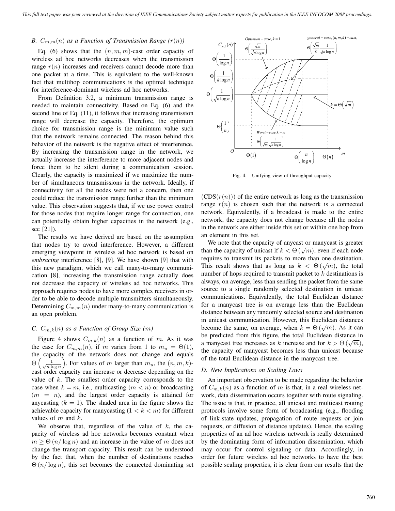#### *B.*  $C_{m,m}(n)$  *as a Function of Transmission Range*  $(r(n))$

Eq. (6) shows that the  $(n, m, m)$ -cast order capacity of wireless ad hoc networks decreases when the transmission range  $r(n)$  increases and receivers cannot decode more than one packet at a time. This is equivalent to the well-known fact that multihop communications is the optimal technique for interference-dominant wireless ad hoc networks.

From Definition 3.2, a minimum transmission range is needed to maintain connectivity. Based on Eq. (6) and the second line of Eq. (11), it follows that increasing transmission range will decrease the capacity. Therefore, the optimum choice for transmission range is the minimum value such that the network remains connected. The reason behind this behavior of the network is the negative effect of interference. By increasing the transmission range in the network, we actually increase the interference to more adjacent nodes and force them to be silent during a communication session. Clearly, the capacity is maximized if we maximize the number of simultaneous transmissions in the network. Ideally, if connectivity for all the nodes were not a concern, then one could reduce the transmission range further than the minimum value. This observation suggests that, if we use power control for those nodes that require longer range for connection, one can potentially obtain higher capacities in the network (e.g., see [21]).

The results we have derived are based on the assumption that nodes try to avoid interference. However, a different emerging viewpoint in wireless ad hoc network is based on *embracing* interference [8], [9]. We have shown [9] that with this new paradigm, which we call many-to-many communication [8], increasing the transmission range actually does not decrease the capacity of wireless ad hoc networks. This approach requires nodes to have more complex receivers in order to be able to decode multiple transmitters simultaneously. Determining  $C_{m,m}(n)$  under many-to-many communication is an open problem.

#### *C.*  $C_{m,k}(n)$  *as a Function of Group Size* (*m*)

Figure 4 shows  $C_{m,k}(n)$  as a function of m. As it was the case for  $C_{m,m}(n)$ , if m varies from 1 to  $m_u = \Theta(1)$ , the capacity of the network does not change and equals  $\frac{1}{2}$  $\left(\frac{1}{\sqrt{n \log n}}\right)$ ). For values of m larger than  $m_u$ , the  $(n, m, k)$ cast order capacity can increase or decrease depending on the value of  $k$ . The smallest order capacity corresponds to the case when  $k = m$ , i.e., multicasting  $(m < n)$  or broadcasting  $(m = n)$ , and the largest order capacity is attained for anycasting  $(k = 1)$ . The shaded area in the figure shows the achievable capacity for manycasting  $(1 < k < m)$  for different values of  $m$  and  $k$ .

We observe that, regardless of the value of  $k$ , the capacity of wireless ad hoc networks becomes constant when  $m \geq \Theta(n/\log n)$  and an increase in the value of m does not change the transport capacity. This result can be understood by the fact that, when the number of destinations reaches  $\Theta(n/\log n)$ , this set becomes the connected dominating set



Fig. 4. Unifying view of throughput capacity

 $(CDS(r(n)))$  of the entire network as long as the transmission range  $r(n)$  is chosen such that the network is a connected network. Equivalently, if a broadcast is made to the entire network, the capacity does not change because all the nodes in the network are either inside this set or within one hop from an element in this set.

We note that the capacity of anycast or manycast is greater than the capacity of unicast if  $k < \Theta(\sqrt{m})$ , even if each node requires to transmit its packets to more than one destination. This result shows that as long as  $k < \Theta(\sqrt{m})$ , the total number of hops required to transmit packet to  $k$  destinations is always, on average, less than sending the packet from the same source to a single randomly selected destination in unicast communications. Equivalently, the total Euclidean distance for a manycast tree is on average less than the Euclidean distance between any randomly selected source and destination in unicast communication. However, this Euclidean distances become the same, on average, when  $k = \Theta(\sqrt{m})$ . As it can be predicted from this figure, the total Euclidean distance in a manycast tree increases as k increase and for  $k > \Theta(\sqrt{m})$ , the capacity of manycast becomes less than unicast because of the total Euclidean distance in the manycast tree.

#### *D. New Implications on Scaling Laws*

An important observation to be made regarding the behavior of  $C_{m,k}(n)$  as a function of m is that, in a real wireless network, data dissemination occurs together with route signaling. The issue is that, in practice, all unicast and multicast routing protocols involve some form of broadcasting (e.g., flooding of link-state updates, propagation of route requests or join requests, or diffusion of distance updates). Hence, the scaling properties of an ad hoc wireless network is really determined by the dominating form of information dissemination, which may occur for control signaling or data. Accordingly, in order for future wireless ad hoc networks to have the best possible scaling properties, it is clear from our results that the